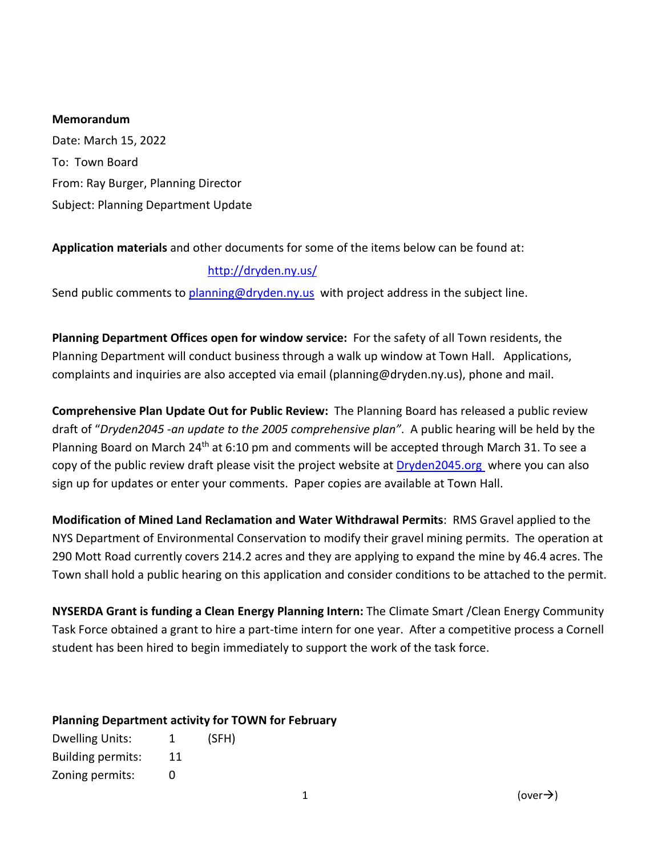#### **Memorandum**

Date: March 15, 2022 To: Town Board From: Ray Burger, Planning Director Subject: Planning Department Update

## **Application materials** and other documents for some of the items below can be found at:

## <http://dryden.ny.us/>

Send public comments to [planning@dryden.ny.us](mailto:planning@dryden.ny.us) with project address in the subject line.

**Planning Department Offices open for window service:** For the safety of all Town residents, the Planning Department will conduct business through a walk up window at Town Hall. Applications, complaints and inquiries are also accepted via email (planning@dryden.ny.us), phone and mail.

**Comprehensive Plan Update Out for Public Review:** The Planning Board has released a public review draft of "*Dryden2045 -an update to the 2005 comprehensive plan"*. A public hearing will be held by the Planning Board on March 24<sup>th</sup> at 6:10 pm and comments will be accepted through March 31. To see a copy of the public review draft please visit the project website a[t Dryden2045.org](https://www.dryden2045.org/) where you can also sign up for updates or enter your comments. Paper copies are available at Town Hall.

**Modification of Mined Land Reclamation and Water Withdrawal Permits**: RMS Gravel applied to the NYS Department of Environmental Conservation to modify their gravel mining permits. The operation at 290 Mott Road currently covers 214.2 acres and they are applying to expand the mine by 46.4 acres. The Town shall hold a public hearing on this application and consider conditions to be attached to the permit.

**NYSERDA Grant is funding a Clean Energy Planning Intern:** The Climate Smart /Clean Energy Community Task Force obtained a grant to hire a part-time intern for one year. After a competitive process a Cornell student has been hired to begin immediately to support the work of the task force.

# **Planning Department activity for TOWN for February**

| <b>Dwelling Units:</b>   | 1  | (SFH) |
|--------------------------|----|-------|
| <b>Building permits:</b> | 11 |       |
| Zoning permits:          | O  |       |